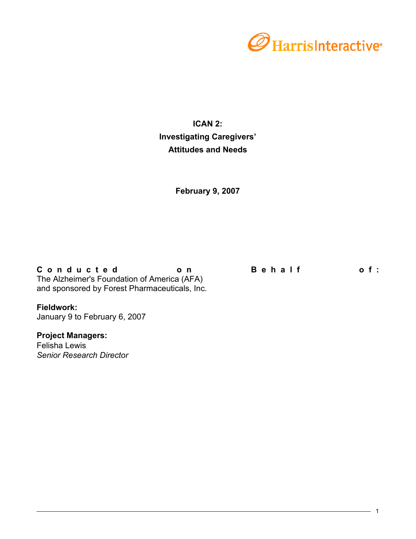

# **ICAN 2: Investigating Caregivers' Attitudes and Needs**

**February 9, 2007**

Conducted on Behalf of: The Alzheimer's Foundation of America (AFA) and sponsored by Forest Pharmaceuticals, Inc.

# **Fieldwork:**

January 9 to February 6, 2007

# **Project Managers:**

Felisha Lewis *Senior Research Director*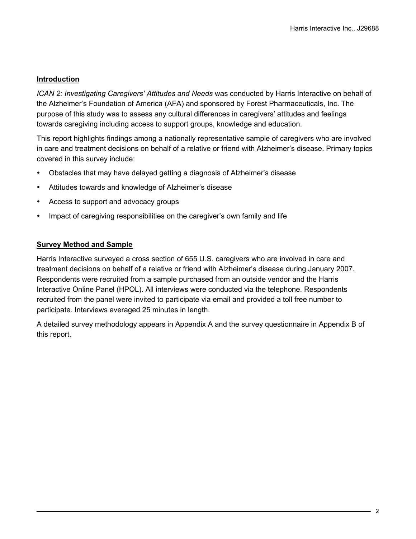# **Introduction**

*ICAN 2: Investigating Caregivers' Attitudes and Needs* was conducted by Harris Interactive on behalf of the Alzheimer's Foundation of America (AFA) and sponsored by Forest Pharmaceuticals, Inc. The purpose of this study was to assess any cultural differences in caregivers' attitudes and feelings towards caregiving including access to support groups, knowledge and education.

This report highlights findings among a nationally representative sample of caregivers who are involved in care and treatment decisions on behalf of a relative or friend with Alzheimer's disease. Primary topics covered in this survey include:

- Obstacles that may have delayed getting a diagnosis of Alzheimer's disease
- Attitudes towards and knowledge of Alzheimer's disease
- Access to support and advocacy groups
- Impact of caregiving responsibilities on the caregiver's own family and life

# **Survey Method and Sample**

Harris Interactive surveyed a cross section of 655 U.S. caregivers who are involved in care and treatment decisions on behalf of a relative or friend with Alzheimer's disease during January 2007. Respondents were recruited from a sample purchased from an outside vendor and the Harris Interactive Online Panel (HPOL). All interviews were conducted via the telephone. Respondents recruited from the panel were invited to participate via email and provided a toll free number to participate. Interviews averaged 25 minutes in length.

A detailed survey methodology appears in Appendix A and the survey questionnaire in Appendix B of this report.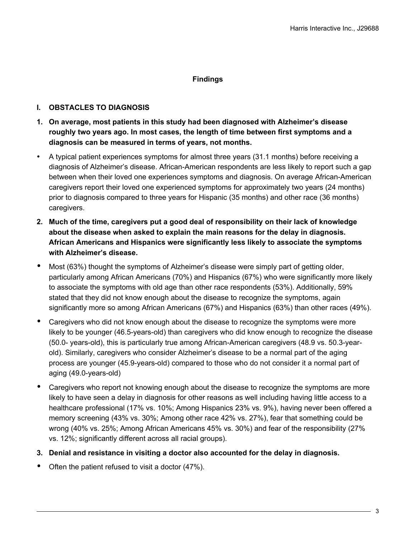# **Findings**

# **I. OBSTACLES TO DIAGNOSIS**

- **1. On average, most patients in this study had been diagnosed with Alzheimer's disease roughly two years ago. In most cases, the length of time between first symptoms and a diagnosis can be measured in terms of years, not months.**
- A typical patient experiences symptoms for almost three years (31.1 months) before receiving a diagnosis of Alzheimer's disease. African-American respondents are less likely to report such a gap between when their loved one experiences symptoms and diagnosis. On average African-American caregivers report their loved one experienced symptoms for approximately two years (24 months) prior to diagnosis compared to three years for Hispanic (35 months) and other race (36 months) caregivers.
- **2. Much of the time, caregivers put a good deal of responsibility on their lack of knowledge about the disease when asked to explain the main reasons for the delay in diagnosis. African Americans and Hispanics were significantly less likely to associate the symptoms with Alzheimer's disease.**
- Most (63%) thought the symptoms of Alzheimer's disease were simply part of getting older, particularly among African Americans (70%) and Hispanics (67%) who were significantly more likely to associate the symptoms with old age than other race respondents (53%). Additionally, 59% stated that they did not know enough about the disease to recognize the symptoms, again significantly more so among African Americans (67%) and Hispanics (63%) than other races (49%).
- Caregivers who did not know enough about the disease to recognize the symptoms were more likely to be younger (46.5-years-old) than caregivers who did know enough to recognize the disease (50.0- years-old), this is particularly true among African-American caregivers (48.9 vs. 50.3-yearold). Similarly, caregivers who consider Alzheimer's disease to be a normal part of the aging process are younger (45.9-years-old) compared to those who do not consider it a normal part of aging (49.0-years-old)
- Caregivers who report not knowing enough about the disease to recognize the symptoms are more likely to have seen a delay in diagnosis for other reasons as well including having little access to a healthcare professional (17% vs. 10%; Among Hispanics 23% vs. 9%), having never been offered a memory screening (43% vs. 30%; Among other race 42% vs. 27%), fear that something could be wrong (40% vs. 25%; Among African Americans 45% vs. 30%) and fear of the responsibility (27% vs. 12%; significantly different across all racial groups).
- **3. Denial and resistance in visiting a doctor also accounted for the delay in diagnosis.**
- Often the patient refused to visit a doctor (47%).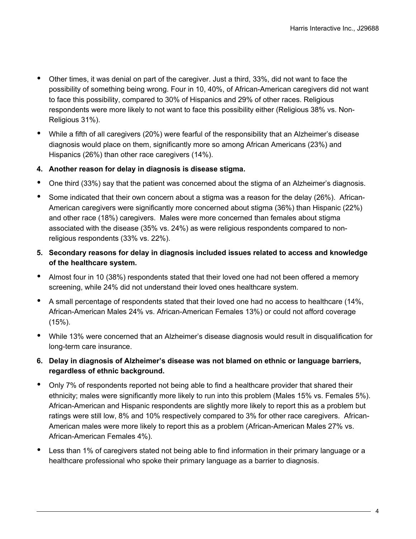- Other times, it was denial on part of the caregiver. Just a third, 33%, did not want to face the possibility of something being wrong. Four in 10, 40%, of African-American caregivers did not want to face this possibility, compared to 30% of Hispanics and 29% of other races. Religious respondents were more likely to not want to face this possibility either (Religious 38% vs. Non-Religious 31%).
- While a fifth of all caregivers (20%) were fearful of the responsibility that an Alzheimer's disease diagnosis would place on them, significantly more so among African Americans (23%) and Hispanics (26%) than other race caregivers (14%).
- **4. Another reason for delay in diagnosis is disease stigma.**
- One third (33%) say that the patient was concerned about the stigma of an Alzheimer's diagnosis.
- Some indicated that their own concern about a stigma was a reason for the delay (26%). African-American caregivers were significantly more concerned about stigma (36%) than Hispanic (22%) and other race (18%) caregivers. Males were more concerned than females about stigma associated with the disease (35% vs. 24%) as were religious respondents compared to nonreligious respondents (33% vs. 22%).
- **5. Secondary reasons for delay in diagnosis included issues related to access and knowledge of the healthcare system.**
- Almost four in 10 (38%) respondents stated that their loved one had not been offered a memory screening, while 24% did not understand their loved ones healthcare system.
- A small percentage of respondents stated that their loved one had no access to healthcare (14%, African-American Males 24% vs. African-American Females 13%) or could not afford coverage (15%).
- While 13% were concerned that an Alzheimer's disease diagnosis would result in disqualification for long-term care insurance.
- **6. Delay in diagnosis of Alzheimer's disease was not blamed on ethnic or language barriers, regardless of ethnic background.**
- Only 7% of respondents reported not being able to find a healthcare provider that shared their ethnicity; males were significantly more likely to run into this problem (Males 15% vs. Females 5%). African-American and Hispanic respondents are slightly more likely to report this as a problem but ratings were still low, 8% and 10% respectively compared to 3% for other race caregivers. African-American males were more likely to report this as a problem (African-American Males 27% vs. African-American Females 4%).
- Less than 1% of caregivers stated not being able to find information in their primary language or a healthcare professional who spoke their primary language as a barrier to diagnosis.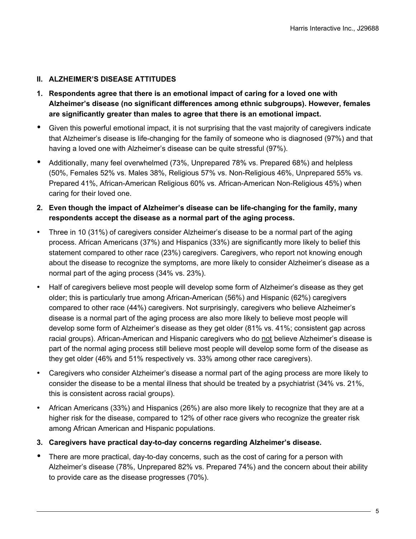# **II. ALZHEIMER'S DISEASE ATTITUDES**

- **1. Respondents agree that there is an emotional impact of caring for a loved one with Alzheimer's disease (no significant differences among ethnic subgroups). However, females are significantly greater than males to agree that there is an emotional impact.**
- Given this powerful emotional impact, it is not surprising that the vast majority of caregivers indicate that Alzheimer's disease is life-changing for the family of someone who is diagnosed (97%) and that having a loved one with Alzheimer's disease can be quite stressful (97%).
- Additionally, many feel overwhelmed (73%, Unprepared 78% vs. Prepared 68%) and helpless (50%, Females 52% vs. Males 38%, Religious 57% vs. Non-Religious 46%, Unprepared 55% vs. Prepared 41%, African-American Religious 60% vs. African-American Non-Religious 45%) when caring for their loved one.
- **2. Even though the impact of Alzheimer's disease can be life-changing for the family, many respondents accept the disease as a normal part of the aging process.**
- Three in 10 (31%) of caregivers consider Alzheimer's disease to be a normal part of the aging process. African Americans (37%) and Hispanics (33%) are significantly more likely to belief this statement compared to other race (23%) caregivers. Caregivers, who report not knowing enough about the disease to recognize the symptoms, are more likely to consider Alzheimer's disease as a normal part of the aging process (34% vs. 23%).
- Half of caregivers believe most people will develop some form of Alzheimer's disease as they get older; this is particularly true among African-American (56%) and Hispanic (62%) caregivers compared to other race (44%) caregivers. Not surprisingly, caregivers who believe Alzheimer's disease is a normal part of the aging process are also more likely to believe most people will develop some form of Alzheimer's disease as they get older (81% vs. 41%; consistent gap across racial groups). African-American and Hispanic caregivers who do not believe Alzheimer's disease is part of the normal aging process still believe most people will develop some form of the disease as they get older (46% and 51% respectively vs. 33% among other race caregivers).
- Caregivers who consider Alzheimer's disease a normal part of the aging process are more likely to consider the disease to be a mental illness that should be treated by a psychiatrist (34% vs. 21%, this is consistent across racial groups).
- African Americans (33%) and Hispanics (26%) are also more likely to recognize that they are at a higher risk for the disease, compared to 12% of other race givers who recognize the greater risk among African American and Hispanic populations.
- **3. Caregivers have practical day-to-day concerns regarding Alzheimer's disease.**
- There are more practical, day-to-day concerns, such as the cost of caring for a person with Alzheimer's disease (78%, Unprepared 82% vs. Prepared 74%) and the concern about their ability to provide care as the disease progresses (70%).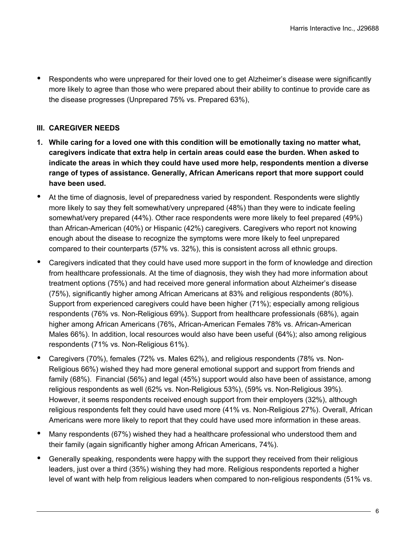• Respondents who were unprepared for their loved one to get Alzheimer's disease were significantly more likely to agree than those who were prepared about their ability to continue to provide care as the disease progresses (Unprepared 75% vs. Prepared 63%),

# **III. CAREGIVER NEEDS**

- **1. While caring for a loved one with this condition will be emotionally taxing no matter what, caregivers indicate that extra help in certain areas could ease the burden. When asked to indicate the areas in which they could have used more help, respondents mention a diverse range of types of assistance. Generally, African Americans report that more support could have been used.**
- At the time of diagnosis, level of preparedness varied by respondent. Respondents were slightly more likely to say they felt somewhat/very unprepared (48%) than they were to indicate feeling somewhat/very prepared (44%). Other race respondents were more likely to feel prepared (49%) than African-American (40%) or Hispanic (42%) caregivers. Caregivers who report not knowing enough about the disease to recognize the symptoms were more likely to feel unprepared compared to their counterparts (57% vs. 32%), this is consistent across all ethnic groups.
- Caregivers indicated that they could have used more support in the form of knowledge and direction from healthcare professionals. At the time of diagnosis, they wish they had more information about treatment options (75%) and had received more general information about Alzheimer's disease (75%), significantly higher among African Americans at 83% and religious respondents (80%). Support from experienced caregivers could have been higher (71%); especially among religious respondents (76% vs. Non-Religious 69%). Support from healthcare professionals (68%), again higher among African Americans (76%, African-American Females 78% vs. African-American Males 66%). In addition, local resources would also have been useful (64%); also among religious respondents (71% vs. Non-Religious 61%).
- Caregivers (70%), females (72% vs. Males 62%), and religious respondents (78% vs. Non-Religious 66%) wished they had more general emotional support and support from friends and family (68%). Financial (56%) and legal (45%) support would also have been of assistance, among religious respondents as well (62% vs. Non-Religious 53%), (59% vs. Non-Religious 39%). However, it seems respondents received enough support from their employers (32%), although religious respondents felt they could have used more (41% vs. Non-Religious 27%). Overall, African Americans were more likely to report that they could have used more information in these areas.
- Many respondents (67%) wished they had a healthcare professional who understood them and their family (again significantly higher among African Americans, 74%).
- Generally speaking, respondents were happy with the support they received from their religious leaders, just over a third (35%) wishing they had more. Religious respondents reported a higher level of want with help from religious leaders when compared to non-religious respondents (51% vs.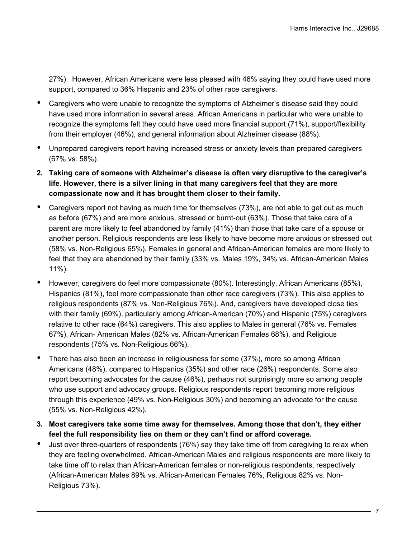27%). However, African Americans were less pleased with 46% saying they could have used more support, compared to 36% Hispanic and 23% of other race caregivers.

- Caregivers who were unable to recognize the symptoms of Alzheimer's disease said they could have used more information in several areas. African Americans in particular who were unable to recognize the symptoms felt they could have used more financial support (71%), support/flexibility from their employer (46%), and general information about Alzheimer disease (88%).
- Unprepared caregivers report having increased stress or anxiety levels than prepared caregivers (67% vs. 58%).
- **2. Taking care of someone with Alzheimer's disease is often very disruptive to the caregiver's life. However, there is a silver lining in that many caregivers feel that they are more compassionate now and it has brought them closer to their family.**
- Caregivers report not having as much time for themselves (73%), are not able to get out as much as before (67%) and are more anxious, stressed or burnt-out (63%). Those that take care of a parent are more likely to feel abandoned by family (41%) than those that take care of a spouse or another person. Religious respondents are less likely to have become more anxious or stressed out (58% vs. Non-Religious 65%). Females in general and African-American females are more likely to feel that they are abandoned by their family (33% vs. Males 19%, 34% vs. African-American Males 11%).
- However, caregivers do feel more compassionate (80%). Interestingly, African Americans (85%), Hispanics (81%), feel more compassionate than other race caregivers (73%). This also applies to religious respondents (87% vs. Non-Religious 76%). And, caregivers have developed close ties with their family (69%), particularly among African-American (70%) and Hispanic (75%) caregivers relative to other race (64%) caregivers. This also applies to Males in general (76% vs. Females 67%), African- American Males (82% vs. African-American Females 68%), and Religious respondents (75% vs. Non-Religious 66%).
- There has also been an increase in religiousness for some (37%), more so among African Americans (48%), compared to Hispanics (35%) and other race (26%) respondents. Some also report becoming advocates for the cause (46%), perhaps not surprisingly more so among people who use support and advocacy groups. Religious respondents report becoming more religious through this experience (49% vs. Non-Religious 30%) and becoming an advocate for the cause (55% vs. Non-Religious 42%).
- **3. Most caregivers take some time away for themselves. Among those that don't, they either feel the full responsibility lies on them or they can't find or afford coverage.**
- Just over three-quarters of respondents (76%) say they take time off from caregiving to relax when they are feeling overwhelmed. African-American Males and religious respondents are more likely to take time off to relax than African-American females or non-religious respondents, respectively (African-American Males 89% vs. African-American Females 76%, Religious 82% vs. Non-Religious 73%).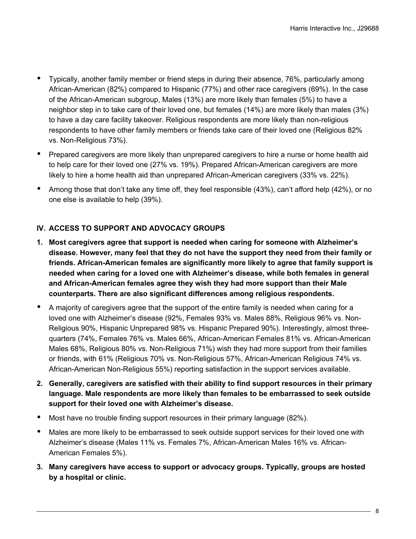- Typically, another family member or friend steps in during their absence, 76%, particularly among African-American (82%) compared to Hispanic (77%) and other race caregivers (69%). In the case of the African-American subgroup, Males (13%) are more likely than females (5%) to have a neighbor step in to take care of their loved one, but females (14%) are more likely than males (3%) to have a day care facility takeover. Religious respondents are more likely than non-religious respondents to have other family members or friends take care of their loved one (Religious 82% vs. Non-Religious 73%).
- Prepared caregivers are more likely than unprepared caregivers to hire a nurse or home health aid to help care for their loved one (27% vs. 19%). Prepared African-American caregivers are more likely to hire a home health aid than unprepared African-American caregivers (33% vs. 22%).
- Among those that don't take any time off, they feel responsible (43%), can't afford help (42%), or no one else is available to help (39%).

# **IV. ACCESS TO SUPPORT AND ADVOCACY GROUPS**

- **1. Most caregivers agree that support is needed when caring for someone with Alzheimer's disease. However, many feel that they do not have the support they need from their family or friends. African-American females are significantly more likely to agree that family support is needed when caring for a loved one with Alzheimer's disease, while both females in general and African-American females agree they wish they had more support than their Male counterparts. There are also significant differences among religious respondents.**
- A majority of caregivers agree that the support of the entire family is needed when caring for a loved one with Alzheimer's disease (92%, Females 93% vs. Males 88%, Religious 96% vs. Non-Religious 90%, Hispanic Unprepared 98% vs. Hispanic Prepared 90%). Interestingly, almost threequarters (74%, Females 76% vs. Males 66%, African-American Females 81% vs. African-American Males 68%, Religious 80% vs. Non-Religious 71%) wish they had more support from their families or friends, with 61% (Religious 70% vs. Non-Religious 57%, African-American Religious 74% vs. African-American Non-Religious 55%) reporting satisfaction in the support services available.
- **2. Generally, caregivers are satisfied with their ability to find support resources in their primary language. Male respondents are more likely than females to be embarrassed to seek outside support for their loved one with Alzheimer's disease.**
- Most have no trouble finding support resources in their primary language (82%).
- Males are more likely to be embarrassed to seek outside support services for their loved one with Alzheimer's disease (Males 11% vs. Females 7%, African-American Males 16% vs. African-American Females 5%).
- **3. Many caregivers have access to support or advocacy groups. Typically, groups are hosted by a hospital or clinic.**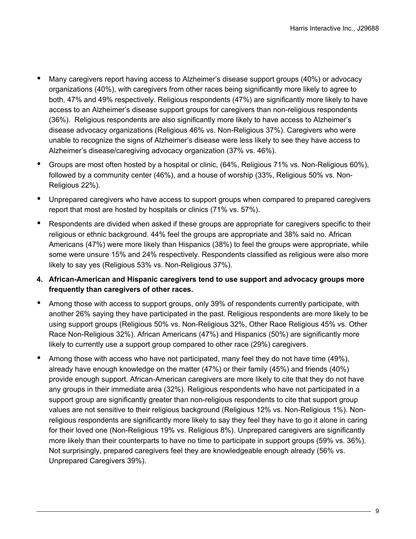- Many caregivers report having access to Alzheimer's disease support groups (40%) or advocacy organizations (40%), with caregivers from other races being significantly more likely to agree to both, 47% and 49% respectively. Religious respondents (47%) are significantly more likely to have access to an Alzheimer's disease support groups for caregivers than non-religious respondents (36%). Religious respondents are also significantly more likely to have access to Alzheimer's disease advocacy organizations (Religious 46% vs. Non-Religious 37%). Caregivers who were unable to recognize the signs of Alzheimer's disease were less likely to see they have access to Alzheimer's disease/caregiving advocacy organization (37% vs. 46%).
- Groups are most often hosted by a hospital or clinic, (64%, Religious 71% vs. Non-Religious 60%), followed by a community center (46%), and a house of worship (33%, Religious 50% vs. Non-Religious 22%).
- Unprepared caregivers who have access to support groups when compared to prepared caregivers report that most are hosted by hospitals or clinics (71% vs. 57%).
- Respondents are divided when asked if these groups are appropriate for caregivers specific to their religious or ethnic background. 44% feel the groups are appropriate and 38% said no. African Americans (47%) were more likely than Hispanics (38%) to feel the groups were appropriate, while some were unsure 15% and 24% respectively. Respondents classified as religious were also more likely to say yes (Religious 53% vs. Non-Religious 37%).
- **4. African-American and Hispanic caregivers tend to use support and advocacy groups more frequently than caregivers of other races.**
- Among those with access to support groups, only 39% of respondents currently participate, with another 26% saying they have participated in the past. Religious respondents are more likely to be using support groups (Religious 50% vs. Non-Religious 32%, Other Race Religious 45% vs. Other Race Non-Religious 32%). African Americans (47%) and Hispanics (50%) are significantly more likely to currently use a support group compared to other race (29%) caregivers.
- Among those with access who have not participated, many feel they do not have time (49%), already have enough knowledge on the matter (47%) or their family (45%) and friends (40%) provide enough support. African-American caregivers are more likely to cite that they do not have any groups in their immediate area (32%). Religious respondents who have not participated in a support group are significantly greater than non-religious respondents to cite that support group values are not sensitive to their religious background (Religious 12% vs. Non-Religious 1%). Nonreligious respondents are significantly more likely to say they feel they have to go it alone in caring for their loved one (Non-Religious 19% vs. Religious 8%). Unprepared caregivers are significantly more likely than their counterparts to have no time to participate in support groups (59% vs. 36%). Not surprisingly, prepared caregivers feel they are knowledgeable enough already (56% vs. Unprepared Caregivers 39%).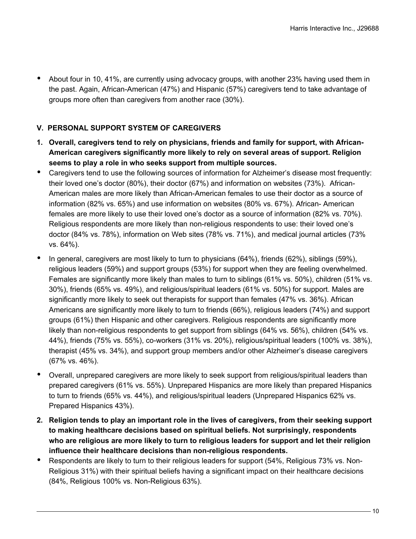• About four in 10, 41%, are currently using advocacy groups, with another 23% having used them in the past. Again, African-American (47%) and Hispanic (57%) caregivers tend to take advantage of groups more often than caregivers from another race (30%).

# **V. PERSONAL SUPPORT SYSTEM OF CAREGIVERS**

- **1. Overall, caregivers tend to rely on physicians, friends and family for support, with African-American caregivers significantly more likely to rely on several areas of support. Religion seems to play a role in who seeks support from multiple sources.**
- Caregivers tend to use the following sources of information for Alzheimer's disease most frequently: their loved one's doctor (80%), their doctor (67%) and information on websites (73%). African-American males are more likely than African-American females to use their doctor as a source of information (82% vs. 65%) and use information on websites (80% vs. 67%). African- American females are more likely to use their loved one's doctor as a source of information (82% vs. 70%). Religious respondents are more likely than non-religious respondents to use: their loved one's doctor (84% vs. 78%), information on Web sites (78% vs. 71%), and medical journal articles (73% vs. 64%).
- In general, caregivers are most likely to turn to physicians (64%), friends (62%), siblings (59%), religious leaders (59%) and support groups (53%) for support when they are feeling overwhelmed. Females are significantly more likely than males to turn to siblings (61% vs. 50%), children (51% vs. 30%), friends (65% vs. 49%), and religious/spiritual leaders (61% vs. 50%) for support. Males are significantly more likely to seek out therapists for support than females (47% vs. 36%). African Americans are significantly more likely to turn to friends (66%), religious leaders (74%) and support groups (61%) then Hispanic and other caregivers. Religious respondents are significantly more likely than non-religious respondents to get support from siblings (64% vs. 56%), children (54% vs. 44%), friends (75% vs. 55%), co-workers (31% vs. 20%), religious/spiritual leaders (100% vs. 38%), therapist (45% vs. 34%), and support group members and/or other Alzheimer's disease caregivers (67% vs. 46%).
- Overall, unprepared caregivers are more likely to seek support from religious/spiritual leaders than prepared caregivers (61% vs. 55%). Unprepared Hispanics are more likely than prepared Hispanics to turn to friends (65% vs. 44%), and religious/spiritual leaders (Unprepared Hispanics 62% vs. Prepared Hispanics 43%).
- **2. Religion tends to play an important role in the lives of caregivers, from their seeking support to making healthcare decisions based on spiritual beliefs. Not surprisingly, respondents who are religious are more likely to turn to religious leaders for support and let their religion influence their healthcare decisions than non-religious respondents.**
- Respondents are likely to turn to their religious leaders for support (54%, Religious 73% vs. Non-Religious 31%) with their spiritual beliefs having a significant impact on their healthcare decisions (84%, Religious 100% vs. Non-Religious 63%).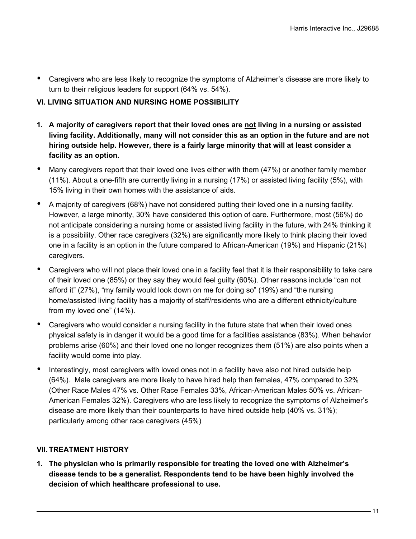• Caregivers who are less likely to recognize the symptoms of Alzheimer's disease are more likely to turn to their religious leaders for support (64% vs. 54%).

# **VI. LIVING SITUATION AND NURSING HOME POSSIBILITY**

- **1. A majority of caregivers report that their loved ones are not living in a nursing or assisted living facility. Additionally, many will not consider this as an option in the future and are not hiring outside help. However, there is a fairly large minority that will at least consider a facility as an option.**
- Many caregivers report that their loved one lives either with them (47%) or another family member (11%). About a one-fifth are currently living in a nursing (17%) or assisted living facility (5%), with 15% living in their own homes with the assistance of aids.
- A majority of caregivers (68%) have not considered putting their loved one in a nursing facility. However, a large minority, 30% have considered this option of care. Furthermore, most (56%) do not anticipate considering a nursing home or assisted living facility in the future, with 24% thinking it is a possibility. Other race caregivers (32%) are significantly more likely to think placing their loved one in a facility is an option in the future compared to African-American (19%) and Hispanic (21%) caregivers.
- Caregivers who will not place their loved one in a facility feel that it is their responsibility to take care of their loved one (85%) or they say they would feel guilty (60%). Other reasons include "can not afford it" (27%), "my family would look down on me for doing so" (19%) and "the nursing home/assisted living facility has a majority of staff/residents who are a different ethnicity/culture from my loved one" (14%).
- Caregivers who would consider a nursing facility in the future state that when their loved ones physical safety is in danger it would be a good time for a facilities assistance (83%). When behavior problems arise (60%) and their loved one no longer recognizes them (51%) are also points when a facility would come into play.
- Interestingly, most caregivers with loved ones not in a facility have also not hired outside help (64%). Male caregivers are more likely to have hired help than females, 47% compared to 32% (Other Race Males 47% vs. Other Race Females 33%, African-American Males 50% vs. African-American Females 32%). Caregivers who are less likely to recognize the symptoms of Alzheimer's disease are more likely than their counterparts to have hired outside help (40% vs. 31%); particularly among other race caregivers (45%)

### **VII. TREATMENT HISTORY**

**1. The physician who is primarily responsible for treating the loved one with Alzheimer's disease tends to be a generalist. Respondents tend to be have been highly involved the decision of which healthcare professional to use.**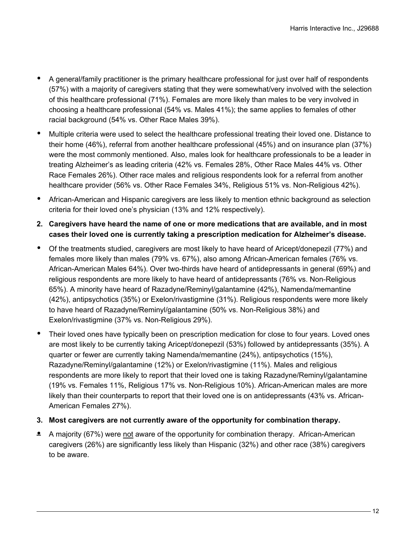- A general/family practitioner is the primary healthcare professional for just over half of respondents (57%) with a majority of caregivers stating that they were somewhat/very involved with the selection of this healthcare professional (71%). Females are more likely than males to be very involved in choosing a healthcare professional (54% vs. Males 41%); the same applies to females of other racial background (54% vs. Other Race Males 39%).
- Multiple criteria were used to select the healthcare professional treating their loved one. Distance to their home (46%), referral from another healthcare professional (45%) and on insurance plan (37%) were the most commonly mentioned. Also, males look for healthcare professionals to be a leader in treating Alzheimer's as leading criteria (42% vs. Females 28%, Other Race Males 44% vs. Other Race Females 26%). Other race males and religious respondents look for a referral from another healthcare provider (56% vs. Other Race Females 34%, Religious 51% vs. Non-Religious 42%).
- African-American and Hispanic caregivers are less likely to mention ethnic background as selection criteria for their loved one's physician (13% and 12% respectively).
- **2. Caregivers have heard the name of one or more medications that are available, and in most cases their loved one is currently taking a prescription medication for Alzheimer's disease.**
- Of the treatments studied, caregivers are most likely to have heard of Aricept/donepezil (77%) and females more likely than males (79% vs. 67%), also among African-American females (76% vs. African-American Males 64%). Over two-thirds have heard of antidepressants in general (69%) and religious respondents are more likely to have heard of antidepressants (76% vs. Non-Religious 65%). A minority have heard of Razadyne/Reminyl/galantamine (42%), Namenda/memantine (42%), antipsychotics (35%) or Exelon/rivastigmine (31%). Religious respondents were more likely to have heard of Razadyne/Reminyl/galantamine (50% vs. Non-Religious 38%) and Exelon/rivastigmine (37% vs. Non-Religious 29%).
- Their loved ones have typically been on prescription medication for close to four years. Loved ones are most likely to be currently taking Aricept/donepezil (53%) followed by antidepressants (35%). A quarter or fewer are currently taking Namenda/memantine (24%), antipsychotics (15%), Razadyne/Reminyl/galantamine (12%) or Exelon/rivastigmine (11%). Males and religious respondents are more likely to report that their loved one is taking Razadyne/Reminyl/galantamine (19% vs. Females 11%, Religious 17% vs. Non-Religious 10%). African-American males are more likely than their counterparts to report that their loved one is on antidepressants (43% vs. African-American Females 27%).
- **3. Most caregivers are not currently aware of the opportunity for combination therapy.**
- **•** A majority (67%) were not aware of the opportunity for combination therapy. African-American caregivers (26%) are significantly less likely than Hispanic (32%) and other race (38%) caregivers to be aware.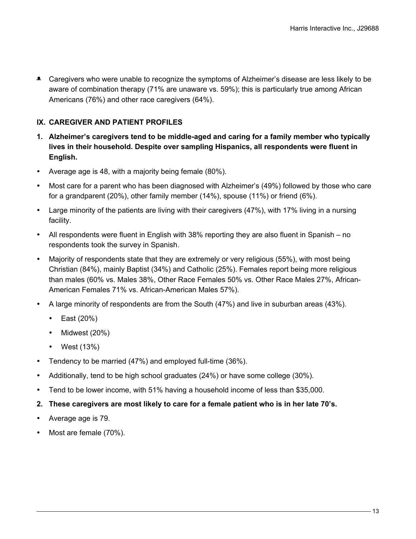**•** Caregivers who were unable to recognize the symptoms of Alzheimer's disease are less likely to be aware of combination therapy (71% are unaware vs. 59%); this is particularly true among African Americans (76%) and other race caregivers (64%).

### **IX. CAREGIVER AND PATIENT PROFILES**

- **1. Alzheimer's caregivers tend to be middle-aged and caring for a family member who typically lives in their household. Despite over sampling Hispanics, all respondents were fluent in English.**
- Average age is 48, with a majority being female (80%).
- Most care for a parent who has been diagnosed with Alzheimer's (49%) followed by those who care for a grandparent (20%), other family member (14%), spouse (11%) or friend (6%).
- Large minority of the patients are living with their caregivers (47%), with 17% living in a nursing facility.
- All respondents were fluent in English with 38% reporting they are also fluent in Spanish no respondents took the survey in Spanish.
- Majority of respondents state that they are extremely or very religious (55%), with most being Christian (84%), mainly Baptist (34%) and Catholic (25%). Females report being more religious than males (60% vs. Males 38%, Other Race Females 50% vs. Other Race Males 27%, African-American Females 71% vs. African-American Males 57%).
- A large minority of respondents are from the South (47%) and live in suburban areas (43%).
	- East (20%)
	- Midwest (20%)
	- West (13%)
- Tendency to be married (47%) and employed full-time (36%).
- Additionally, tend to be high school graduates (24%) or have some college (30%).
- Tend to be lower income, with 51% having a household income of less than \$35,000.
- **2. These caregivers are most likely to care for a female patient who is in her late 70's.**
- Average age is 79.
- Most are female (70%).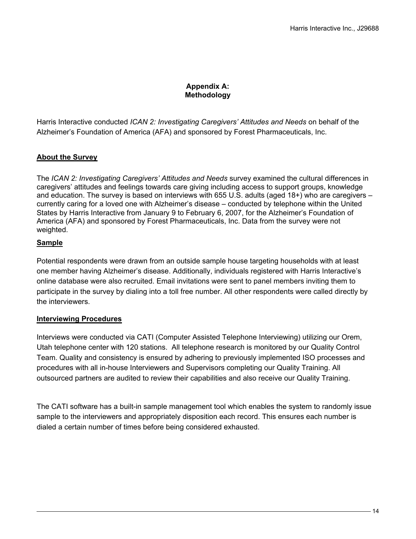# **Appendix A: Methodology**

Harris Interactive conducted *ICAN 2: Investigating Caregivers' Attitudes and Needs* on behalf of the Alzheimer's Foundation of America (AFA) and sponsored by Forest Pharmaceuticals, Inc.

# **About the Survey**

The *ICAN 2: Investigating Caregivers' Attitudes and Needs* survey examined the cultural differences in caregivers' attitudes and feelings towards care giving including access to support groups, knowledge and education. The survey is based on interviews with 655 U.S. adults (aged 18+) who are caregivers – currently caring for a loved one with Alzheimer's disease – conducted by telephone within the United States by Harris Interactive from January 9 to February 6, 2007, for the Alzheimer's Foundation of America (AFA) and sponsored by Forest Pharmaceuticals, Inc. Data from the survey were not weighted.

# **Sample**

Potential respondents were drawn from an outside sample house targeting households with at least one member having Alzheimer's disease. Additionally, individuals registered with Harris Interactive's online database were also recruited. Email invitations were sent to panel members inviting them to participate in the survey by dialing into a toll free number. All other respondents were called directly by the interviewers.

### **Interviewing Procedures**

Interviews were conducted via CATI (Computer Assisted Telephone Interviewing) utilizing our Orem, Utah telephone center with 120 stations. All telephone research is monitored by our Quality Control Team. Quality and consistency is ensured by adhering to previously implemented ISO processes and procedures with all in-house Interviewers and Supervisors completing our Quality Training. All outsourced partners are audited to review their capabilities and also receive our Quality Training.

The CATI software has a built-in sample management tool which enables the system to randomly issue sample to the interviewers and appropriately disposition each record. This ensures each number is dialed a certain number of times before being considered exhausted.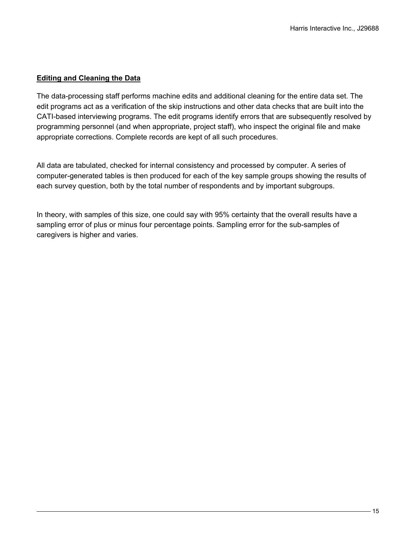# **Editing and Cleaning the Data**

The data-processing staff performs machine edits and additional cleaning for the entire data set. The edit programs act as a verification of the skip instructions and other data checks that are built into the CATI-based interviewing programs. The edit programs identify errors that are subsequently resolved by programming personnel (and when appropriate, project staff), who inspect the original file and make appropriate corrections. Complete records are kept of all such procedures.

All data are tabulated, checked for internal consistency and processed by computer. A series of computer-generated tables is then produced for each of the key sample groups showing the results of each survey question, both by the total number of respondents and by important subgroups.

In theory, with samples of this size, one could say with 95% certainty that the overall results have a sampling error of plus or minus four percentage points. Sampling error for the sub-samples of caregivers is higher and varies.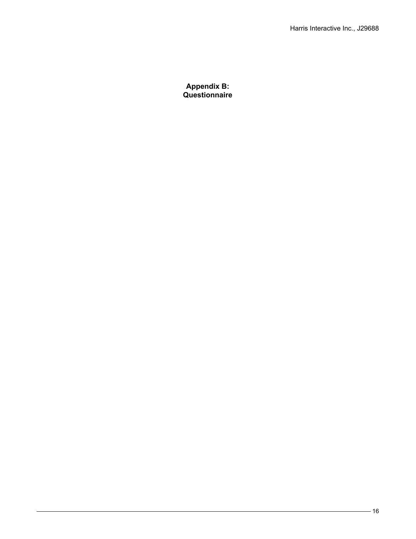**Appendix B: Questionnaire**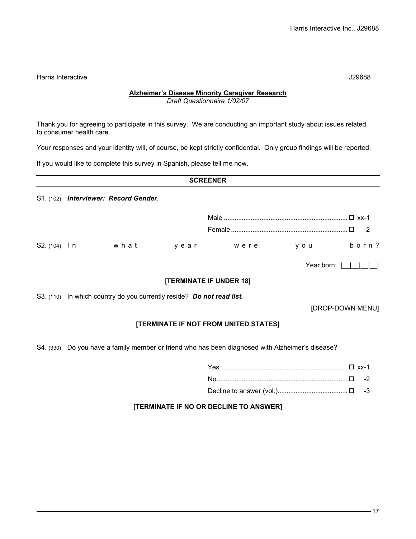Harris Interactive J29688

### **Alzheimer's Disease Minority Caregiver Research**

*Draft Questionnaire 1/02/07*

Thank you for agreeing to participate in this survey. We are conducting an important study about issues related to consumer health care.

Your responses and your identity will, of course, be kept strictly confidential. Only group findings will be reported.

If you would like to complete this survey in Spanish, please tell me now.

| <b>SCREENER</b> |  |                                       |      |      |       |             |
|-----------------|--|---------------------------------------|------|------|-------|-------------|
|                 |  | S1. (102) Interviewer: Record Gender. |      |      |       |             |
|                 |  |                                       |      |      |       | $\Box$ xx-1 |
|                 |  |                                       |      |      |       | $-2$        |
| $S2. (104)$   n |  | what                                  | vear | were | y o u | born?       |

Year born: |\_\_|\_\_|\_\_|\_\_|

#### [**TERMINATE IF UNDER 18]**

S3. (110) In which country do you currently reside? Do not read list.

[DROP-DOWN MENU]

### **[TERMINATE IF NOT FROM UNITED STATES]**

S4. (330) Do you have a family member or friend who has been diagnosed with Alzheimer's disease?

### **[TERMINATE IF NO OR DECLINE TO ANSWER]**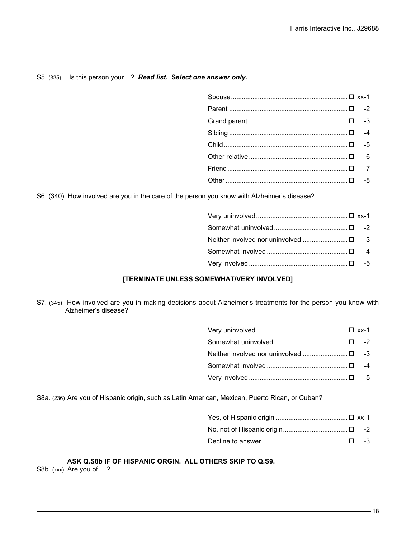#### S5. (335) Is this person your…? *Read list.* **Se***lect one answer only.*

S6. (340) How involved are you in the care of the person you know with Alzheimer's disease?

| Neither involved nor uninvolved □ -3 |  |
|--------------------------------------|--|
|                                      |  |
|                                      |  |
|                                      |  |

#### **[TERMINATE UNLESS SOMEWHAT/VERY INVOLVED]**

S7. (345) How involved are you in making decisions about Alzheimer's treatments for the person you know with Alzheimer's disease?

Very involved ....................................................... -5

S8a. (236) Are you of Hispanic origin, such as Latin American, Mexican, Puerto Rican, or Cuban?

Decline to answer................................................ -3

**ASK Q.S8b IF OF HISPANIC ORGIN. ALL OTHERS SKIP TO Q.S9.** S8b. (xxx) Are you of ...?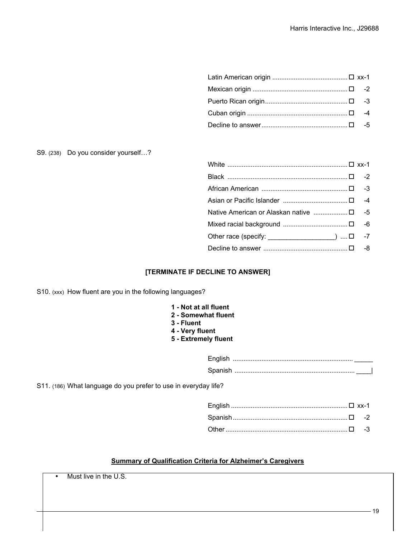S9. (238) Do you consider yourself…?

| Other race (specify: ___________________) □ -7 |
|------------------------------------------------|
|                                                |
|                                                |

### **[TERMINATE IF DECLINE TO ANSWER]**

S10. (xxx) How fluent are you in the following languages?

- **1 Not at all fluent**
- **2 Somewhat fluent**
- **3 Fluent**
- **4 Very fluent**
- **5 Extremely fluent**

English ................................................................... \_\_\_\_\_ Spanish ................................................................... \_\_\_\_|

S11. (186) What language do you prefer to use in everyday life?

#### **Summary of Qualification Criteria for Alzheimer's Caregivers**

Must live in the U.S.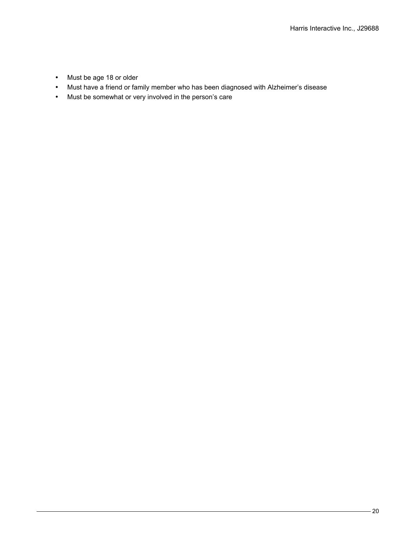- Must be age 18 or older
- Must have a friend or family member who has been diagnosed with Alzheimer's disease
- Must be somewhat or very involved in the person's care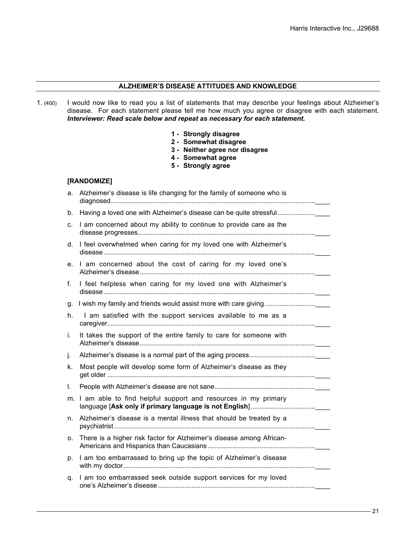### **ALZHEIMER'S DISEASE ATTITUDES AND KNOWLEDGE**

- 1. (400) I would now like to read you a list of statements that may describe your feelings about Alzheimer's disease. For each statement please tell me how much you agree or disagree with each statement. *Interviewer: Read scale below and repeat as necessary for each statement.*
	- **1 Strongly disagree**
	- **2 Somewhat disagree**
	- **3 - Neither agree nor disagree**
	- **4 - Somewhat agree**
	- **5 - Strongly agree**

#### **[RANDOMIZE]**

| a. | Alzheimer's disease is life changing for the family of someone who is |
|----|-----------------------------------------------------------------------|
| b. | Having a loved one with Alzheimer's disease can be quite stressful    |
| c. | I am concerned about my ability to continue to provide care as the    |
| d. | I feel overwhelmed when caring for my loved one with Alzheimer's      |
| е. | I am concerned about the cost of caring for my loved one's            |
| f. | I feel helpless when caring for my loved one with Alzheimer's         |
| g. |                                                                       |
| h. | I am satisfied with the support services available to me as a         |
| i. | It takes the support of the entire family to care for someone with    |
| j. |                                                                       |
| k. | Most people will develop some form of Alzheimer's disease as they     |
| L. |                                                                       |
| m. | I am able to find helpful support and resources in my primary         |
| n. | Alzheimer's disease is a mental illness that should be treated by a   |
| о. | There is a higher risk factor for Alzheimer's disease among African-  |
| p. | I am too embarrassed to bring up the topic of Alzheimer's disease     |
| q. | I am too embarrassed seek outside support services for my loved       |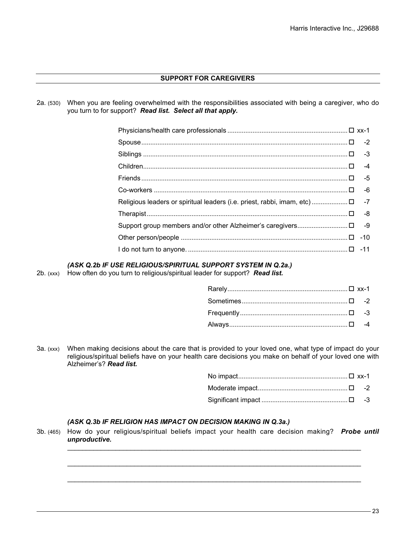### **SUPPORT FOR CAREGIVERS**

2a. (530) When you are feeling overwhelmed with the responsibilities associated with being a caregiver, who do you turn to for support? *Read list. Select all that apply.*

| 11- D -11 -11 Constitution of the number of the angle of the measurement of the constraints of the constraints of the constraints of the constraints of the constraints of the constraints of the constraints of the constrain |  |
|--------------------------------------------------------------------------------------------------------------------------------------------------------------------------------------------------------------------------------|--|

### *(ASK Q.2b IF USE RELIGIOUS/SPIRITUAL SUPPORT SYSTEM IN Q.2a.)*

2b. (xxx) How often do you turn to religious/spiritual leader for support? *Read list.*

3a. (xxx) When making decisions about the care that is provided to your loved one, what type of impact do your religious/spiritual beliefs have on your health care decisions you make on behalf of your loved one with Alzheimer's? *Read list.*

#### *(ASK Q.3b IF RELIGION HAS IMPACT ON DECISION MAKING IN Q.3a.)*

3b. (465) How do your religious/spiritual beliefs impact your health care decision making? *Probe until unproductive.*

 $\_$  . The set of the set of the set of the set of the set of the set of the set of the set of the set of the set of the set of the set of the set of the set of the set of the set of the set of the set of the set of the se

 $\_$  , and the set of the set of the set of the set of the set of the set of the set of the set of the set of the set of the set of the set of the set of the set of the set of the set of the set of the set of the set of th

 $\_$  , and the set of the set of the set of the set of the set of the set of the set of the set of the set of the set of the set of the set of the set of the set of the set of the set of the set of the set of the set of th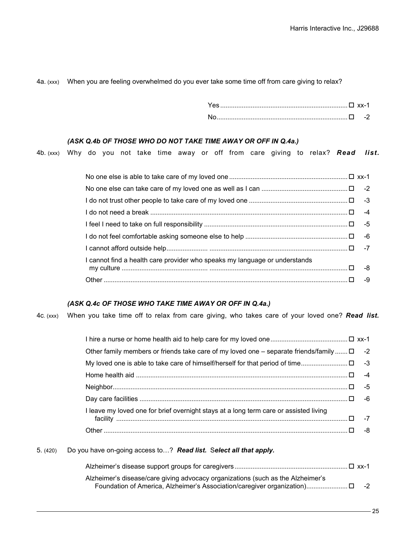#### 4a. (xxx) When you are feeling overwhelmed do you ever take some time off from care giving to relax?

| Yes. |  |
|------|--|
|      |  |

#### *(ASK Q.4b OF THOSE WHO DO NOT TAKE TIME AWAY OR OFF IN Q.4a.)*

4b. (xxx) Why do you not take time away or off from care giving to relax? *Read list.*

| I cannot find a health care provider who speaks my language or understands |  |
|----------------------------------------------------------------------------|--|
|                                                                            |  |
| 0- D -9                                                                    |  |

### *(ASK Q.4c OF THOSE WHO TAKE TIME AWAY OR OFF IN Q.4a.)*

4c. (xxx) When you take time off to relax from care giving, who takes care of your loved one? *Read list.*

| Other family members or friends take care of my loved one – separate friends/family $\square$ -2 |  |
|--------------------------------------------------------------------------------------------------|--|
|                                                                                                  |  |
|                                                                                                  |  |
|                                                                                                  |  |
|                                                                                                  |  |
| I leave my loved one for brief overnight stays at a long term care or assisted living            |  |
|                                                                                                  |  |
|                                                                                                  |  |

#### 5. (420) Do you have on-going access to…? *Read list.* S*elect all that apply.*

| Alzheimer's disease/care giving advocacy organizations (such as the Alzheimer's |      |
|---------------------------------------------------------------------------------|------|
|                                                                                 | $-2$ |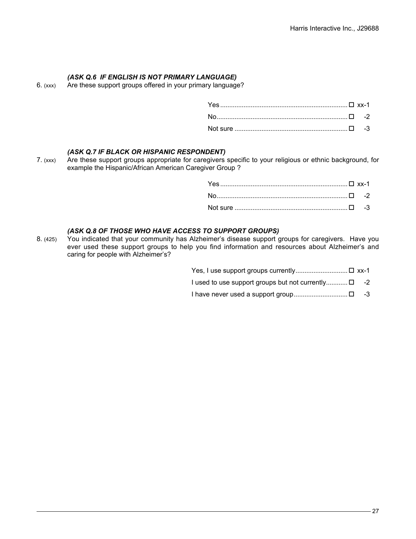# *(ASK Q.6 IF ENGLISH IS NOT PRIMARY LANGUAGE)*

6. (xxx) Are these support groups offered in your primary language?

#### *(ASK Q.7 IF BLACK OR HISPANIC RESPONDENT)*

7. (xxx) Are these support groups appropriate for caregivers specific to your religious or ethnic background, for example the Hispanic/African American Caregiver Group ?

#### *(ASK Q.8 OF THOSE WHO HAVE ACCESS TO SUPPORT GROUPS)*

8. (425) You indicated that your community has Alzheimer's disease support groups for caregivers. Have you ever used these support groups to help you find information and resources about Alzheimer's and caring for people with Alzheimer's?

> Yes, I use support groups currently.............................□ xx-1 I used to use support groups but not currently.............  $\square$  -2

I have never used a support group.............................. -3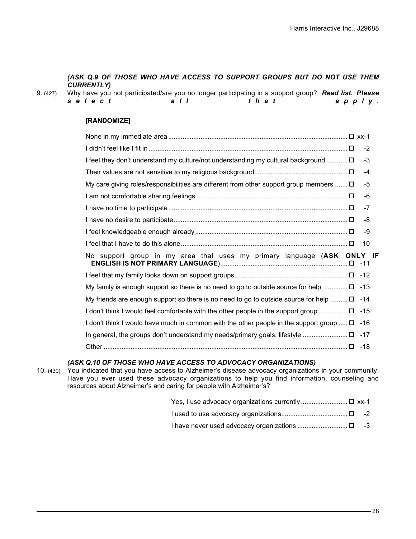### *(ASK Q.9 OF THOSE WHO HAVE ACCESS TO SUPPORT GROUPS BUT DO NOT USE THEM CURRENTLY)*

| 9. (427) |        |       | Why have you not participated/are you no longer participating in a support group? Read list. Please |        |
|----------|--------|-------|-----------------------------------------------------------------------------------------------------|--------|
|          | select | a I I | that                                                                                                | apply. |

#### **[RANDOMIZE]**

|                                                                                              | $-2$  |
|----------------------------------------------------------------------------------------------|-------|
| I feel they don't understand my culture/not understanding my cultural background □           | $-3$  |
|                                                                                              | $-4$  |
| My care giving roles/responsibilities are different from other support group members $\Box$  | -5    |
|                                                                                              | -6    |
|                                                                                              | $-7$  |
|                                                                                              | -8    |
|                                                                                              | -9    |
|                                                                                              |       |
| No support group in my area that uses my primary language (ASK ONLY IF                       |       |
|                                                                                              |       |
| My family is enough support so there is no need to go to outside source for help $\ldots$    | -13   |
| My friends are enough support so there is no need to go to outside source for help $\square$ | -14   |
| I don't think I would feel comfortable with the other people in the support group            | $-15$ |
| I don't think I would have much in common with the other people in the support group $\Box$  | $-16$ |
|                                                                                              | $-17$ |
|                                                                                              |       |

#### *(ASK Q.10 OF THOSE WHO HAVE ACCESS TO ADVOCACY ORGANIZATIONS)*

10. (430) You indicated that you have access to Alzheimer's disease advocacy organizations in your community. Have you ever used these advocacy organizations to help you find information, counseling and resources about Alzheimer's and caring for people with Alzheimer's?

- 
- I have never used advocacy organizations ............................ -3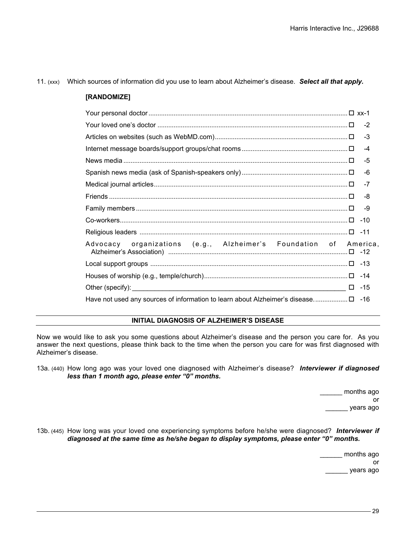#### 11. (xxx) Which sources of information did you use to learn about Alzheimer's disease. *Select all that apply.*

#### **[RANDOMIZE]**

|                                                                                           | $-4$ |
|-------------------------------------------------------------------------------------------|------|
|                                                                                           | $-5$ |
|                                                                                           | -6   |
|                                                                                           | $-7$ |
|                                                                                           | -8   |
|                                                                                           | -9   |
|                                                                                           |      |
|                                                                                           |      |
| Advocacy organizations (e.g., Alzheimer's Foundation of America,                          |      |
|                                                                                           |      |
|                                                                                           |      |
|                                                                                           |      |
| Have not used any sources of information to learn about Alzheimer's disease $\square$ -16 |      |

#### **INITIAL DIAGNOSIS OF ALZHEIMER'S DISEASE**

Now we would like to ask you some questions about Alzheimer's disease and the person you care for. As you answer the next questions, please think back to the time when the person you care for was first diagnosed with Alzheimer's disease.

13a. (440) How long ago was your loved one diagnosed with Alzheimer's disease? *Interviewer if diagnosed less than 1 month ago, please enter "0" months.*

> \_\_\_\_\_\_ months ago or \_\_\_\_\_\_ years ago

13b. (445) How long was your loved one experiencing symptoms before he/she were diagnosed? *Interviewer if diagnosed at the same time as he/she began to display symptoms, please enter "0" months.*

> \_\_\_\_\_\_ months ago or \_\_\_\_\_\_ years ago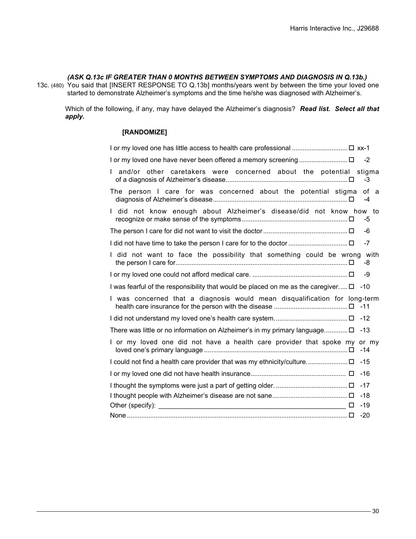#### *(ASK Q.13c IF GREATER THAN 0 MONTHS BETWEEN SYMPTOMS AND DIAGNOSIS IN Q.13b.)*

13c. (480) You said that [INSERT RESPONSE TO Q.13b] months/years went by between the time your loved one started to demonstrate Alzheimer's symptoms and the time he/she was diagnosed with Alzheimer's.

Which of the following, if any, may have delayed the Alzheimer's diagnosis? *Read list. Select all that apply.*

### **[RANDOMIZE]**

| 1 or my loved one has little access to health care professional  □ xx-1                |       |
|----------------------------------------------------------------------------------------|-------|
|                                                                                        |       |
| and/or other caretakers were concerned about the potential stigma                      | $-3$  |
| The person I care for was concerned about the potential stigma of a                    | $-4$  |
| I did not know enough about Alzheimer's disease/did not know how to                    | -5    |
|                                                                                        | -6    |
|                                                                                        |       |
| I did not want to face the possibility that something could be wrong with              | -8    |
|                                                                                        | -9    |
| I was fearful of the responsibility that would be placed on me as the caregiver □ -10  |       |
| I was concerned that a diagnosis would mean disqualification for long-term             |       |
|                                                                                        |       |
| There was little or no information on Alzheimer's in my primary language $\square$ -13 |       |
| I or my loved one did not have a health care provider that spoke my or my              | $-14$ |
| 15- □ U could not find a health care provider that was my ethnicity/culture □          |       |
|                                                                                        |       |
|                                                                                        |       |
|                                                                                        | $-18$ |
|                                                                                        | $-19$ |
|                                                                                        |       |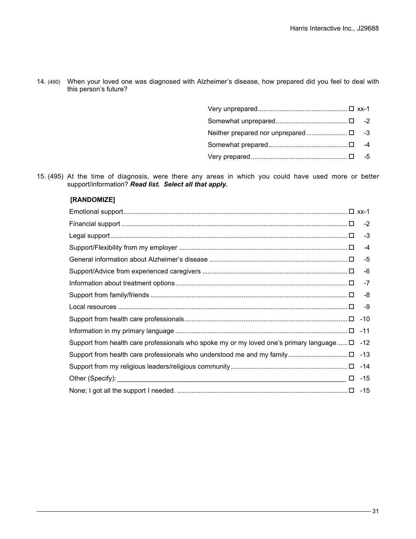14. (490) When your loved one was diagnosed with Alzheimer's disease, how prepared did you feel to deal with this person's future?

|  | -4 |
|--|----|
|  | -5 |

15. (495) At the time of diagnosis, were there any areas in which you could have used more or better support/information? *Read list. Select all that apply.*

# **[RANDOMIZE]**

|                                                                                                          | $-2$  |
|----------------------------------------------------------------------------------------------------------|-------|
|                                                                                                          | $-3$  |
|                                                                                                          | $-4$  |
|                                                                                                          | $-5$  |
|                                                                                                          | -6    |
|                                                                                                          | -7    |
|                                                                                                          | -8    |
|                                                                                                          | -9    |
|                                                                                                          | $-10$ |
|                                                                                                          |       |
| 12- Eupport from health care professionals who spoke my or my loved one's primary language $\square$ -12 |       |
|                                                                                                          |       |
|                                                                                                          |       |
|                                                                                                          |       |
|                                                                                                          |       |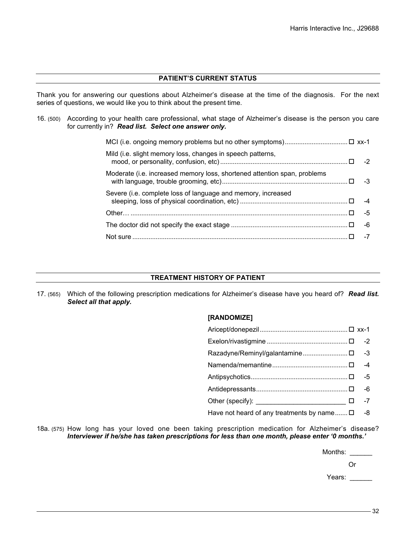#### **PATIENT'S CURRENT STATUS**

Thank you for answering our questions about Alzheimer's disease at the time of the diagnosis. For the next series of questions, we would like you to think about the present time.

16. (500) According to your health care professional, what stage of Alzheimer's disease is the person you care for currently in? *Read list. Select one answer only.*

| Mild (i.e. slight memory loss, changes in speech patterns,               |    |
|--------------------------------------------------------------------------|----|
| Moderate (i.e. increased memory loss, shortened attention span, problems | -3 |
| Severe (i.e. complete loss of language and memory, increased             |    |
|                                                                          | -5 |
|                                                                          | -6 |
|                                                                          |    |

#### **TREATMENT HISTORY OF PATIENT**

17. (565) Which of the following prescription medications for Alzheimer's disease have you heard of? *Read list. Select all that apply.*

### **[RANDOMIZE]**

| Other (specify): $\qquad \qquad$ -7                   |  |
|-------------------------------------------------------|--|
| Have not heard of any treatments by name $\square$ -8 |  |

18a. (575) How long has your loved one been taking prescription medication for Alzheimer's disease? *Interviewer if he/she has taken prescriptions for less than one month, please enter '0 months.'*

Months:

Or

Years: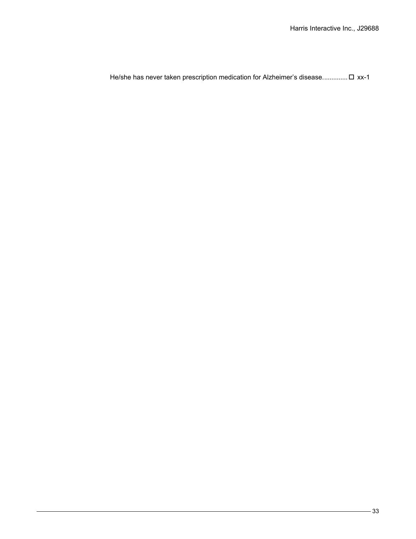He/she has never taken prescription medication for Alzheimer's disease.............. xx-1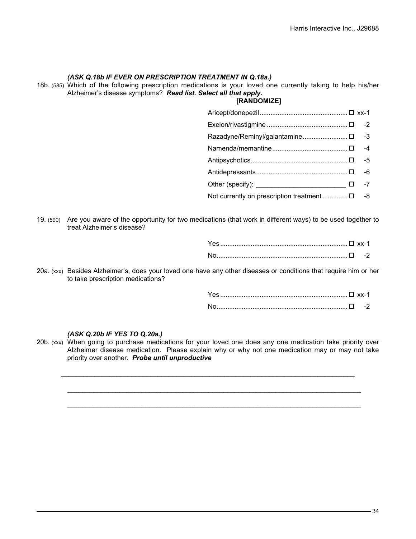#### *(ASK Q.18b IF EVER ON PRESCRIPTION TREATMENT IN Q.18a.)*

18b. (585) Which of the following prescription medications is your loved one currently taking to help his/her Alzheimer's disease symptoms? *Read list. Select all that apply.*

### **[RANDOMIZE]**

- Razadyne/Reminyl/galantamine......................... -3
- Namenda/memantine.......................................... -4
- Antipsychotics...................................................... -5
- Antidepressants................................................... -6
- Other (specify):  $\Box$  -7

Not currently on prescription treatment  $\Box$ ............... $\square$  -8

19. (590) Are you aware of the opportunity for two medications (that work in different ways) to be used together to treat Alzheimer's disease?

20a. (xxx) Besides Alzheimer's, does your loved one have any other diseases or conditions that require him or her to take prescription medications?

#### *(ASK Q.20b IF YES TO Q.20a.)*

20b. (xxx) When going to purchase medications for your loved one does any one medication take priority over Alzheimer disease medication. Please explain why or why not one medication may or may not take priority over another. *Probe until unproductive*

 $\mathcal{L}_\text{max}$  , and the set of the set of the set of the set of the set of the set of the set of the set of the set of the set of the set of the set of the set of the set of the set of the set of the set of the set of the

 $\_$  . The set of the set of the set of the set of the set of the set of the set of the set of the set of the set of the set of the set of the set of the set of the set of the set of the set of the set of the set of the se

 $\_$  , and the set of the set of the set of the set of the set of the set of the set of the set of the set of the set of the set of the set of the set of the set of the set of the set of the set of the set of the set of th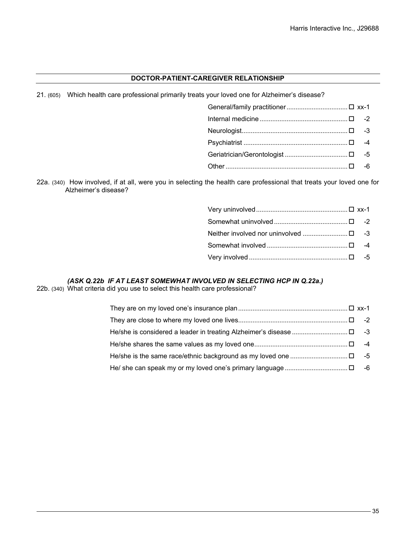#### **DOCTOR-PATIENT-CAREGIVER RELATIONSHIP**

21. (605) Which health care professional primarily treats your loved one for Alzheimer's disease?

- General/family practitioner...................................□ xx-1 Internal medicine ................................................. -2 Neurologist........................................................... -3 Psychiatrist .......................................................... -4
- Geriatrician/Gerontologist ................................... -5
- Other.................................................................... -6

22a. (340) How involved, if at all, were you in selecting the health care professional that treats your loved one for Alzheimer's disease?

#### *(ASK Q.22b IF AT LEAST SOMEWHAT INVOLVED IN SELECTING HCP IN Q.22a.)*

22b. (340) What criteria did you use to select this health care professional?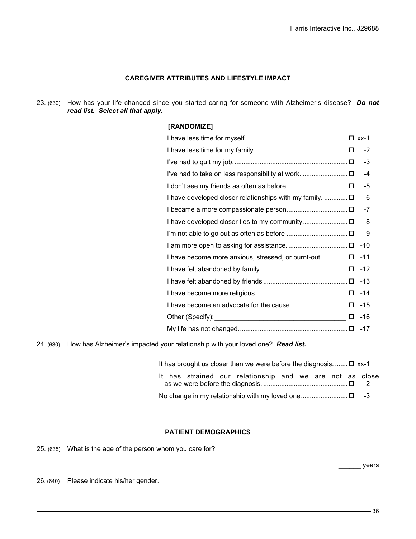### **CAREGIVER ATTRIBUTES AND LIFESTYLE IMPACT**

23. (630) How has your life changed since you started caring for someone with Alzheimer's disease? *Do not read list. Select all that apply.*

### **[RANDOMIZE]**

|                                                       | $-2$  |
|-------------------------------------------------------|-------|
|                                                       | -3    |
|                                                       | -4    |
|                                                       | -5    |
| I have developed closer relationships with my family. | -6    |
|                                                       | $-7$  |
|                                                       | -8    |
|                                                       | -9    |
|                                                       | $-10$ |
|                                                       | $-11$ |
|                                                       | $-12$ |
|                                                       | $-13$ |
|                                                       | $-14$ |
|                                                       | $-15$ |
| □                                                     | $-16$ |
|                                                       | $-17$ |
|                                                       |       |

24. (630) How has Alzheimer's impacted your relationship with your loved one? *Read list.*

| It has brought us closer than we were before the diagnosis. $\Box$ xx-1 |  |  |  |
|-------------------------------------------------------------------------|--|--|--|
| It has strained our relationship and we are not as close                |  |  |  |
|                                                                         |  |  |  |

#### **PATIENT DEMOGRAPHICS**

25. (635) What is the age of the person whom you care for?

\_\_\_\_\_\_ years

26. (640) Please indicate his/her gender.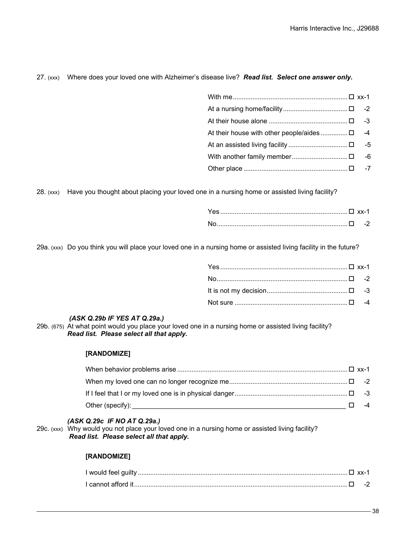### 27. (xxx) Where does your loved one with Alzheimer's disease live? *Read list. Select one answer only.*

|  | -6 |
|--|----|
|  |    |

28. (xxx) Have you thought about placing your loved one in a nursing home or assisted living facility?

29a. (xxx) Do you think you will place your loved one in a nursing home or assisted living facility in the future?

### *(ASK Q.29b IF YES AT Q.29a.)*

29b. (675) At what point would you place your loved one in a nursing home or assisted living facility? *Read list. Please select all that apply.*

#### **[RANDOMIZE]**

|  | $-4$ |
|--|------|

#### *(ASK Q.29c IF NO AT Q.29a.)*

29c. (xxx) Why would you not place your loved one in a nursing home or assisted living facility? *Read list. Please select all that apply.*

#### **[RANDOMIZE]**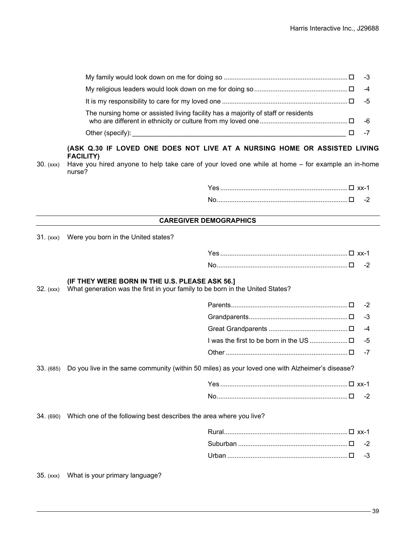| The nursing home or assisted living facility has a majority of staff or residents |  |
|-----------------------------------------------------------------------------------|--|
|                                                                                   |  |

#### **(ASK Q.30 IF LOVED ONE DOES NOT LIVE AT A NURSING HOME OR ASSISTED LIVING FACILITY)**

30. (xxx) Have you hired anyone to help take care of your loved one while at home – for example an in-home nurse?

#### **CAREGIVER DEMOGRAPHICS**

31. (xxx) Were you born in the United states?

#### **(IF THEY WERE BORN IN THE U.S. PLEASE ASK 56.]**

32. (xxx) What generation was the first in your family to be born in the United States?

- Parents................................................................. -2
- Grandparents....................................................... -3
- Great Grandparents ............................................ -4
- I was the first to be born in the US ..................... -5 Other.................................................................... -7

#### 33. (685) Do you live in the same community (within 50 miles) as your loved one with Alzheimer's disease?

34. (690) Which one of the following best describes the area where you live?

35. (xxx) What is your primary language?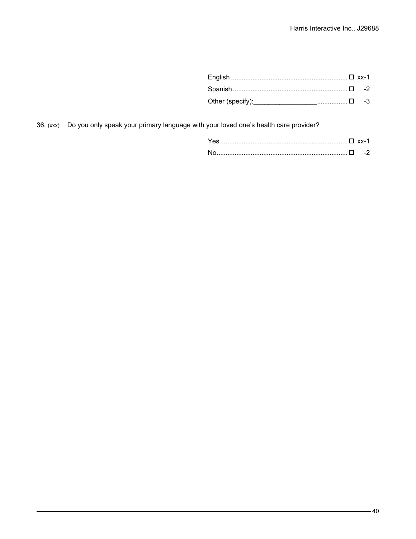36. (xxx) Do you only speak your primary language with your loved one's health care provider?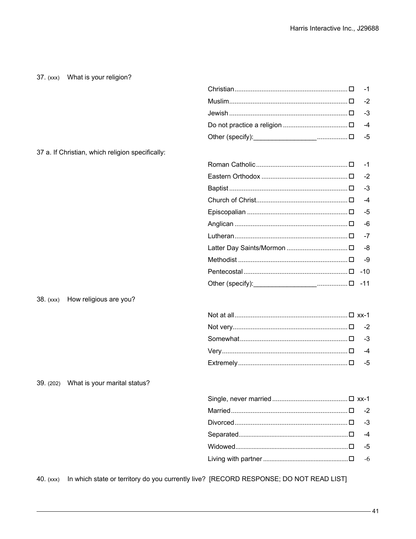# 37. (xxx) What is your religion?

37 a. If Christian, which religion specifically:

| $-1$ |
|------|
| $-2$ |
| $-3$ |
| $-4$ |
| $-5$ |
| $-6$ |
| $-7$ |
|      |
| -9   |
|      |
|      |
|      |

38. (xxx) How religious are you?

39. (202) What is your marital status?

40. (xxx) In which state or territory do you currently live? [RECORD RESPONSE; DO NOT READ LIST]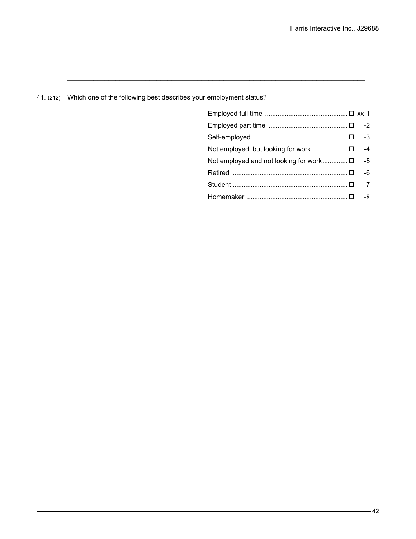# 41. (212) Which one of the following best describes your employment status?

 $\_$  , and the set of the set of the set of the set of the set of the set of the set of the set of the set of the set of the set of the set of the set of the set of the set of the set of the set of the set of the set of th

| Not employed and not looking for work $\square$ -5 |      |
|----------------------------------------------------|------|
|                                                    | -6   |
|                                                    | $-7$ |
|                                                    |      |